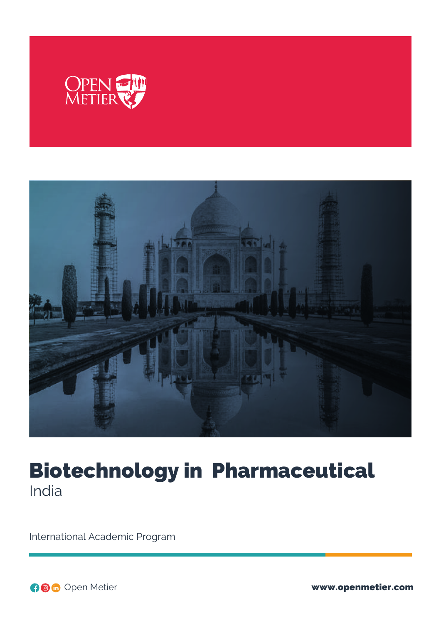



# Biotechnology in Pharmaceutical India

International Academic Program

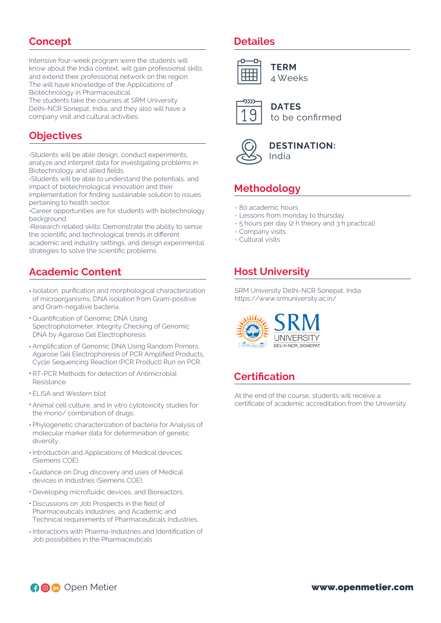### **Concept**

Intensive four-week program were the students will know about the India context, will gain professional skills and extend their professional network on the region. The will have knowledge of the Applications of Biotechnology in Pharmaceutical.

The students take the courses at SRM University Delhi-NCR Sonepat, India, and they also will have a company visit and cultural activities.

### **Objectives**

-Students will be able design, conduct experiments, analyze and interpret data for investigating problems in Biotechnology and allied fields.

-Students will be able to understand the potentials, and impact of biotechnological innovation and their

implementation for finding sustainable solution to issues pertaining to health sector.

-Career opportunities are for students with biotechnology background.

-Research related skills: Demonstrate the ability to sense the scientific and technological trends in different

academic and industry settings, and design experimental strategies to solve the scientific problems.

# **Academic Content**

- Isolation, purification and morphological characterization of microorganisms, DNA isolation from Gram-positive and Gram-negative bacteria.
- Quantification of Genomic DNA Using Spectrophotometer, Integrity Checking of Genomic DNA by Agarose Gel Electrophoresis.
- Amplification of Genomic DNA Using Random Primers, Agarose Gel Electrophoresis of PCR Amplified Products, Cycle Sequencing Reaction (PCR Product) Run on PCR.
- RT-PCR Methods for detection of Antimicrobial Resistance.
- ELISA and Western blot
- Animal cell culture, and In vitro cytotoxicity studies for the mono/ combination of drugs.
- Phylogenetic characterization of bacteria for Analysis of molecular marker data for determination of genetic diversity.
- $\cdot$  Introduction and Applications of Medical devices (Siemens COE).
- Guidance on Drug discovery and uses of Medical devices in Industries (Siemens COE).
- Developing microfluidic devices, and Bioreactors.
- Discussions on Job Prospects in the field of Pharmaceuticals Industries, and Academic and Technical requirements of Pharmaceuticals Industries.
- Interactions with Pharma-Industries and Identification of Job possibilities in the Pharmaceuticals

#### **Detailes**



4 Weeks



**DATES** to be confirmed



#### **DESTINATION:** India

# **Methodology**

- 80 academic hours
- Lessons from monday to thursday.
- 5 hours per day (2 h theory and 3 h practical)
- Company visits
- Cultural visits

# **Host University**

SRM University Delhi-NCR Sonepat, India https://www.srmuniversity.ac.in/



# **Certification**

At the end of the course, students will receive a certificate of academic accreditation from the University.